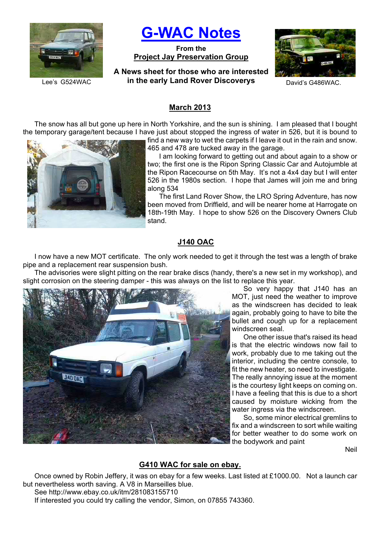

**G-WAC Notes**

**From the Project Jay Preservation Group**

**A News sheet for those who are interested**  Lee's G524WAC **in the early Land Rover Discoverys** David's G486WAC.



## **March 2013**

The snow has all but gone up here in North Yorkshire, and the sun is shining. I am pleased that I bought the temporary garage/tent because I have just about stopped the ingress of water in 526, but it is bound to



find a new way to wet the carpets if I leave it out in the rain and snow. 465 and 478 are tucked away in the garage.

I am looking forward to getting out and about again to a show or two; the first one is the Ripon Spring Classic Car and Autojumble at the Ripon Racecourse on 5th May. It's not a 4x4 day but I will enter 526 in the 1980s section. I hope that James will join me and bring along 534

The first Land Rover Show, the LRO Spring Adventure, has now been moved from Driffield, and will be nearer home at Harrogate on 18th-19th May. I hope to show 526 on the Discovery Owners Club stand.

## **J140 OAC**

I now have a new MOT certificate. The only work needed to get it through the test was a length of brake pipe and a replacement rear suspension bush.

The advisories were slight pitting on the rear brake discs (handy, there's a new set in my workshop), and slight corrosion on the steering damper - this was always on the list to replace this year.



So very happy that J140 has an MOT, just need the weather to improve as the windscreen has decided to leak again, probably going to have to bite the bullet and cough up for a replacement windscreen seal.

One other issue that's raised its head is that the electric windows now fail to work, probably due to me taking out the interior, including the centre console, to fit the new heater, so need to investigate. The really annoying issue at the moment is the courtesy light keeps on coming on. I have a feeling that this is due to a short caused by moisture wicking from the water ingress via the windscreen.

So, some minor electrical gremlins to fix and a windscreen to sort while waiting for better weather to do some work on the bodywork and paint

**Neil** 

## **G410 WAC for sale on ebay.**

Once owned by Robin Jeffery, it was on ebay for a few weeks. Last listed at £1000.00. Not a launch car but nevertheless worth saving. A V8 in Marseilles blue.

See http://www.ebay.co.uk/itm/281083155710 If interested you could try calling the vendor, Simon, on 07855 743360.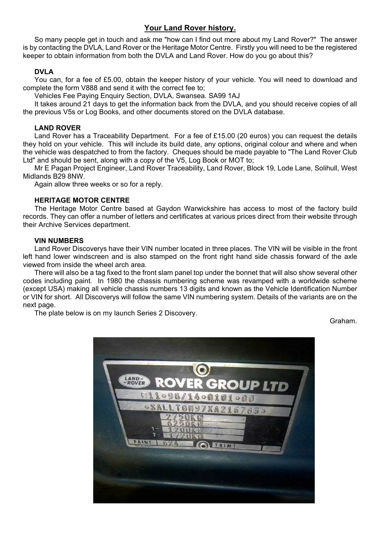# **Your Land Rover history.**

So many people get in touch and ask me "how can I find out more about my Land Rover?" The answer is by contacting the DVLA, Land Rover or the Heritage Motor Centre. Firstly you will need to be the registered keeper to obtain information from both the DVLA and Land Rover. How do you go about this?

## **DVLA**

You can, for a fee of £5.00, obtain the keeper history of your vehicle. You will need to download and complete the form V888 and send it with the correct fee to;

Vehicles Fee Paying Enquiry Section, DVLA, Swansea. SA99 1AJ

It takes around 21 days to get the information back from the DVLA, and you should receive copies of all the previous V5s or Log Books, and other documents stored on the DVLA database.

### **LAND ROVER**

Land Rover has a Traceability Department. For a fee of £15.00 (20 euros) you can request the details they hold on your vehicle. This will include its build date, any options, original colour and where and when the vehicle was despatched to from the factory. Cheques should be made payable to "The Land Rover Club Ltd" and should be sent, along with a copy of the V5, Log Book or MOT to;

Mr E Pagan Project Engineer, Land Rover Traceability, Land Rover, Block 19, Lode Lane, Solihull, West Midlands B29 8NW.

Again allow three weeks or so for a reply.

### **HERITAGE MOTOR CENTRE**

The Heritage Motor Centre based at Gaydon Warwickshire has access to most of the factory build records. They can offer a number of letters and certificates at various prices direct from their website through their Archive Services department.

### **VIN NUMBERS**

Land Rover Discoverys have their VIN number located in three places. The VIN will be visible in the front left hand lower windscreen and is also stamped on the front right hand side chassis forward of the axle viewed from inside the wheel arch area.

There will also be a tag fixed to the front slam panel top under the bonnet that will also show several other codes including paint. In 1980 the chassis numbering scheme was revamped with a worldwide scheme (except USA) making all vehicle chassis numbers 13 digits and known as the Vehicle Identification Number or VIN for short. All Discoverys will follow the same VIN numbering system. Details of the variants are on the next page.

The plate below is on my launch Series 2 Discovery.

Graham.

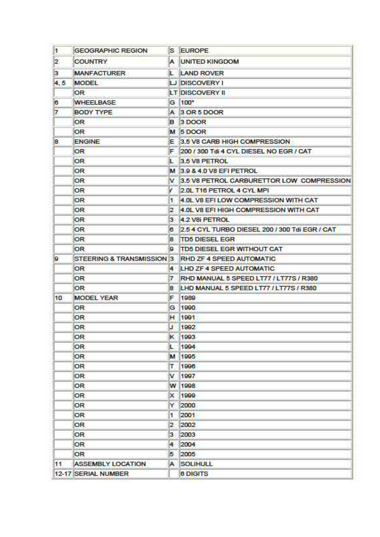| $\mathbf{1}$ | <b>GEOGRAPHIC REGION</b> |                | S EUROPE                                           |
|--------------|--------------------------|----------------|----------------------------------------------------|
| $ 2\rangle$  | <b>COUNTRY</b>           |                | A UNITED KINGDOM                                   |
| з            | <b>MANFACTURER</b>       |                | <b>LAND ROVER</b>                                  |
| 4,5          | MODEL                    |                | LJ DISCOVERY I                                     |
|              | OR                       |                | LT DISCOVERY II                                    |
| l6.          | <b>WHEELBASE</b>         |                | G 100*                                             |
| 7            | <b>BODY TYPE</b>         |                | A 3 OR 5 DOOR                                      |
|              | <b>OR</b>                |                | B <sub>3</sub> DOOR                                |
|              | <b>OR</b>                |                | M <sub>5</sub> DOOR                                |
| 8.           | <b>ENGINE</b>            |                | E 3.5 V8 CARB HIGH COMPRESSION                     |
|              | OR                       |                | F 200 / 300 Tdi 4 CYL DIESEL NO EGR / CAT          |
|              | <b>OR</b>                | ı.             | 3.5 V8 PETROL                                      |
|              | 0R.                      |                | M 3.9 & 4.0 V8 EFI PETROL                          |
|              | OR.                      |                | V 3.5 V8 PETROL CARBURETTOR LOW COMPRESSION        |
|              | OR                       | v.             | 2.0L T16 PETROL 4 CYL MPI                          |
|              | OR.                      | т.             | 4.0L V8 EFILOW COMPRESSION WITH CAT                |
|              | OR                       |                | 2 4.0L V8 EFI HIGH COMPRESSION WITH CAT            |
|              | OR                       |                | 3 4.2 V8i PETROL                                   |
|              | OR                       |                | 6 2.5 4 CYL TURBO DIESEL 200 / 300 Tdi EGR / CAT   |
|              | OR                       | 8.             | <b>TD5 DIESEL EGR</b>                              |
|              | 0R.                      | ig.            | TD5 DIESEL EGR WITHOUT CAT                         |
| 9            |                          |                | STEERING & TRANSMISSION 3 RHD ZF 4 SPEED AUTOMATIC |
|              | OR                       |                | 4 LHD ZF 4 SPEED AUTOMATIC                         |
|              | <b>OR</b>                | 7              | RHD MANUAL 5 SPEED LT77 / LT77S / R380             |
|              | OR                       | 8              | LHD MANUAL 5 SPEED LT77 / LT77S / R380             |
| 10           | <b>MODEL YEAR</b>        | F.             | 1989                                               |
|              | OR                       | G              | 1990                                               |
|              | OR                       | н              | 1991                                               |
|              | 0R                       | IJ             | 1992                                               |
|              | OR                       | к              | 1993                                               |
|              | OR                       | Ł.             | 1994                                               |
|              | OR                       | M              | 1995                                               |
|              | <b>OR</b>                | т              | 1996                                               |
|              | OR                       | v              | 1997                                               |
|              | OR                       |                | W 1998                                             |
|              | OR                       | ×              | 1999                                               |
|              | OR                       | Y              | 2000                                               |
|              | OR                       | 1              | 2001                                               |
|              | 0R                       | $\overline{2}$ | 2002                                               |
|              | <b>OR</b>                | 3              | 2003                                               |
|              | OR                       | 4              | 2004                                               |
|              | <b>OR</b>                | 5              | 2005                                               |
| 11           | <b>ASSEMBLY LOCATION</b> | A              | SOLIHULL                                           |
|              | 12-17 SERIAL NUMBER      |                | <b>6 DIGITS</b>                                    |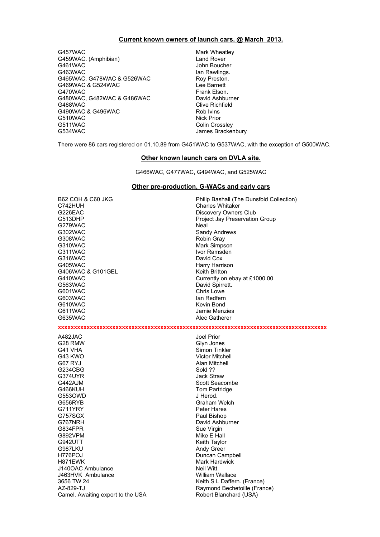#### **Current known owners of launch cars. @ March 2013.**

G457WAC Mark Wheatley G459WAC. (Amphibian) Land Rover G463WAC Ian Rawlings. G465WAC, G478WAC & G526WAC Roy Preston. G469WAC & G524WAC Lee Barnett G470WAC Frank Elson. G480WAC, G482WAC & G486WAC David Ashburner G488WAC COME CONSERVACE CONSERVACT CONSERVACE CONSERVACE CONSERVACE CONSERVACE CONSERVACE CONSERVACE CONSERVAC<br>CONSERVACE CONSERVACE CONSERVACE CONSERVACIÓN DE ROLL DE ROLL DE CONSERVACIÓN DE ROLL DE CONSERVACIÓN DE CONSE G490WAC & G496WAC G510WAC Nick Prior G511WAC Colin Crossley<br>G534WAC Colin Crossley Colin Crossley

John Boucher James Brackenbury

There were 86 cars registered on 01.10.89 from G451WAC to G537WAC, with the exception of G500WAC.

#### **Other known launch cars on DVLA site.**

G466WAC, G477WAC, G494WAC, and G525WAC

#### **Other pre-production, G-WACs and early cars**

G226EAC Discovery Owners Club G513DHP Project Jay Preservation Group G279WAC Neal G302WAC Sandy Andrews G308WAC Robin Gray G310WAC Mark Simpson G311WAC Ivor Ramsden G316WAC<br>G405WAC G406WAC & G101GEL Keith Britton<br>G410WAC Currently on G410WAC Currently on ebay at £1000.00<br>G563WAC Currently on ebay at £1000.00 G601WAC Chris Lowe<br>G603WAC Chris Lowe Canada Chris Lowe Control Chris Lowe Canada Chris Lowe Chris Lowe Chris Lowe Chris Lowe G603WAC<br>G610WAC G611WAC Jamie Menzies G635WAC Alec Gatherer A482JAC Joel Prior G28 RMW Glyn Jones G43 KWO Victor Mitchell G67 RYJ Alan Mitchell G234CBG Sold ?? G442AJM Scott Seacombe G466KUH Tom Partridge C553OWD G553OWD G656RYB Graham Welch G711YRY Peter Hares<br>G757SGX Paul Bishop G757SGX Paul Bishop G834FPR<br>G892VPM Sue Virgin Sue Virgin Sue Virgin G892VPM Mike E Hall G987LKU Andy Green H776POJ Duncan Campbell H871EWK<br>
J140OAC Ambulance<br>
Meil Witt J140OAC Ambulance J463HVK Ambulance William Wallace 3656 TW 24 Keith S L Daffern. (France) AZ-829-TJ<br>Camel. Awaiting export to the USA Robert Blanchard (USA) Camel. Awaiting export to the USA

B62 COH & C60 JKG<br>
C742HUH Philip Bashall (The Dunsfold Collection)<br>
Charles Whitaker Charles Whitaker Harry Harrison David Spirrett. Kevin Bond

**xxxxxxxxxxxxxxxxxxxxxxxxxxxxxxxxxxxxxxxxxxxxxxxxxxxxxxxxxxxxxxxxxxxxxxxxxxxxxxxxxxxx**

Simon Tinkler Jack Straw David Ashburner Keith Taylor